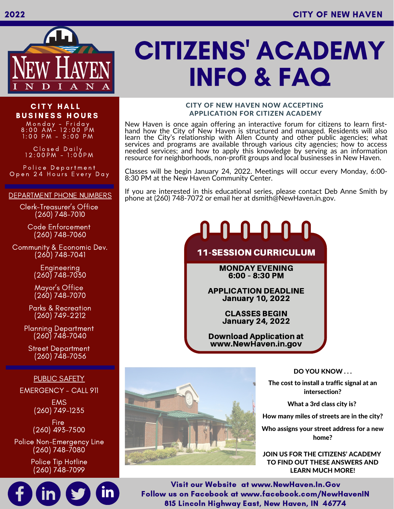

## **CITY HALL BUSINESS HOURS**

M o n d a y - F r i d a y 8:00 AM- 12:00 PM 1:00 PM - 5:00 PM

C l o s e d D a i l y 12:00 PM - 1:00 PM

Police Department Open 24 Hours Every Day

#### DEPARTMENT PHONE NUMBERS

Clerk-Treasurer's Office (260) 748-7010

Code Enforcement (260) 748-7060

Community & Economic Dev. (260) 748-7041

> Engineering (260) 748-7030

> Mayor's Office (260) 748-7070

Parks & Recreation (260) 749-2212

Planning Department (260) 748-7040

Street Department (260) 748-7056

#### PUBLIC SAFETY

EMERGENCY - CALL 911

**EMS** (260) 749-1235

Fire (260) 493-7500

Police Non-Emergency Line (260) 748-7080

> Police Tip Hotline (260) 748-7099



#### CITY OF NEW HAVEN NOW ACCEPTING APPLICATION FOR CITIZEN ACADEMY

New Haven is once again offering an interactive forum for citizens to learn firsthand how the City of New Haven is structured and managed. Residents will also learn the City's relationship with Allen County and other public agencies; what services and programs are available through various city agencies; how to access needed services; and how to apply this knowledge by serving as an information resource for neighborhoods, non-profit groups and local businesses in New Haven.

Classes will be begin January 24, 2022. Meetings will occur every Monday, 6:00- 8:30 PM at the New Haven Community Center.

If you are interested in this educational series, please contact Deb Anne Smith by phone at (260) 748-7072 or email her at dsmith@NewHaven.in.gov.

# 心凸凸凸凸

## 11-SESSION CURRICULUM

MONDAY EVENING 6:00 – 8:30 PM

APPLICATION DEADLINE January 10, 2022

> CLASSES BEGIN January 24, 2022

Download Application at www.NewHaven.in.gov



The cost to install a traffic signal at an intersection?

What a 3rd class city is?

How many miles of streets are in the city?

Who assigns your street address for a new home?

JOIN US FOR THE CITIZENS' ACADEMY TO FIND OUT THESE ANSWERS AND LEARN MUCH MORE!

Visit our Website at www.NewHaven.In.Gov Follow us on Facebook at www.facebook.com/NewHavenIN 815 Lincoln Highway East, New Haven, IN 46774